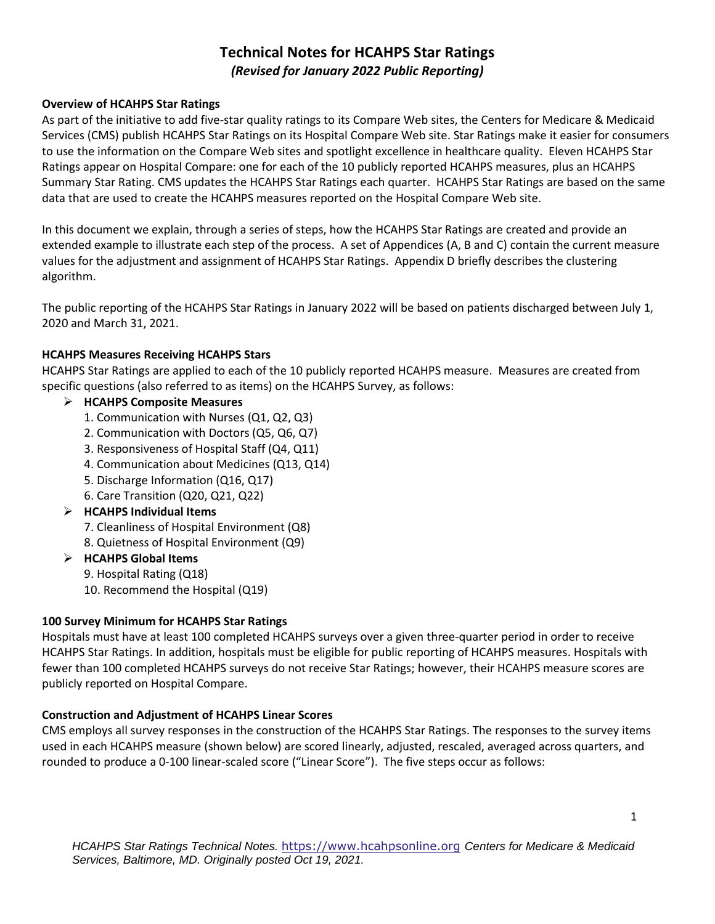# **Technical Notes for HCAHPS Star Ratings**   *(Revised for January 2022 Public Reporting)*

### **Overview of HCAHPS Star Ratings**

 As part of the initiative to add five-star quality ratings to its Compare Web sites, the Centers for Medicare & Medicaid to use the information on the Compare Web sites and spotlight excellence in healthcare quality. Eleven HCAHPS Star Summary Star Rating. CMS updates the HCAHPS Star Ratings each quarter. HCAHPS Star Ratings are based on the same Services (CMS) publish HCAHPS Star Ratings on its Hospital Compare Web site. Star Ratings make it easier for consumers Ratings appear on Hospital Compare: one for each of the 10 publicly reported HCAHPS measures, plus an HCAHPS data that are used to create the HCAHPS measures reported on the Hospital Compare Web site.

 extended example to illustrate each step of the process. A set of Appendices (A, B and C) contain the current measure algorithm. In this document we explain, through a series of steps, how the HCAHPS Star Ratings are created and provide an values for the adjustment and assignment of HCAHPS Star Ratings. Appendix D briefly describes the clustering

 The public reporting of the HCAHPS Star Ratings in January 2022 will be based on patients discharged between July 1, 2020 and March 31, 2021.

### **HCAHPS Measures Receiving HCAHPS Stars**

 HCAHPS Star Ratings are applied to each of the 10 publicly reported HCAHPS measure. Measures are created from specific questions (also referred to as items) on the HCAHPS Survey, as follows:

### ➢ **HCAHPS Composite Measures**

- 1. Communication with Nurses (Q1, Q2, Q3)
- 2. Communication with Doctors (Q5, Q6, Q7)
- 3. Responsiveness of Hospital Staff (Q4, Q11)
- 4. Communication about Medicines (Q13, Q14)
- 5. Discharge Information (Q16, Q17)
- 6. Care Transition (Q20, Q21, Q22)

### ➢ **HCAHPS Individual Items**

- 7. Cleanliness of Hospital Environment (Q8)
- 8. Quietness of Hospital Environment (Q9)
- ➢ **HCAHPS Global Items** 
	- 9. Hospital Rating (Q18)
	- 10. Recommend the Hospital (Q19)

### **100 Survey Minimum for HCAHPS Star Ratings**

 Hospitals must have at least 100 completed HCAHPS surveys over a given three-quarter period in order to receive fewer than 100 completed HCAHPS surveys do not receive Star Ratings; however, their HCAHPS measure scores are publicly reported on Hospital Compare. HCAHPS Star Ratings. In addition, hospitals must be eligible for public reporting of HCAHPS measures. Hospitals with

### **Construction and Adjustment of HCAHPS Linear Scores**

 CMS employs all survey responses in the construction of the HCAHPS Star Ratings. The responses to the survey items used in each HCAHPS measure (shown below) are scored linearly, adjusted, rescaled, averaged across quarters, and rounded to produce a 0-100 linear-scaled score ("Linear Score"). The five steps occur as follows: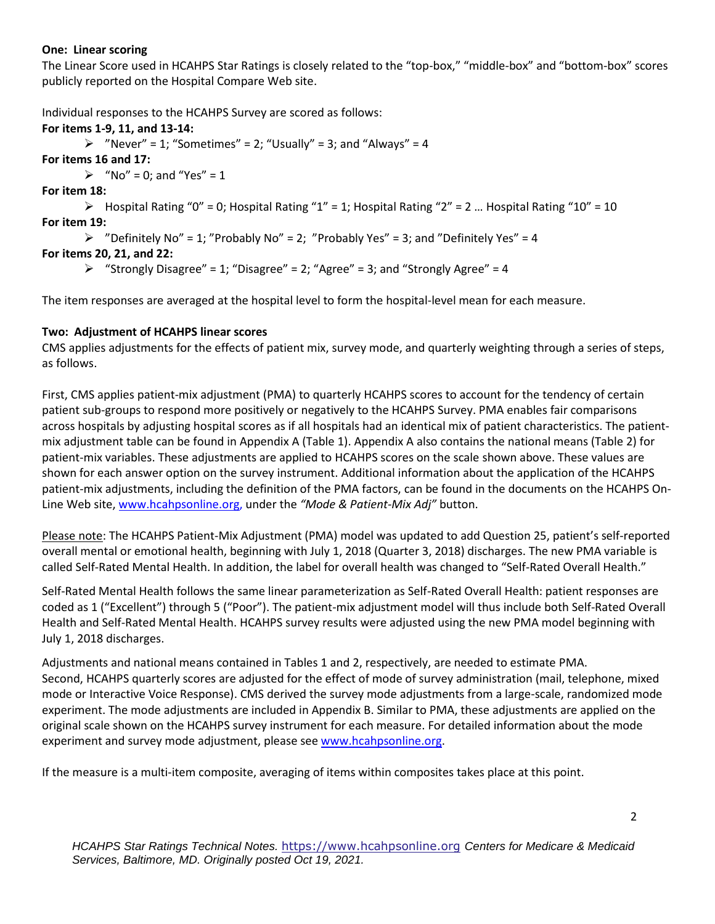### **One: Linear scoring**

The Linear Score used in HCAHPS Star Ratings is closely related to the "top-box," "middle-box" and "bottom-box" scores publicly reported on the Hospital Compare Web site.

Individual responses to the HCAHPS Survey are scored as follows:

```
 
For items 1-9, 11, and 13-14: 
         \triangleright "Never" = 1; "Sometimes" = 2; "Usually" = 3; and "Always" = 4

For items 16 and 17: 
         \triangleright "No" = 0; and "Yes" = 1

For item 18: 
         \triangleright Hospital Rating "0" = 0; Hospital Rating "1" = 1; Hospital Rating "2" = 2 ... Hospital Rating "10" = 10

For item 19: 
         \triangleright "Definitely No" = 1; "Probably No" = 2; "Probably Yes" = 3; and "Definitely Yes" = 4

For items 20, 21, and 22: 
         \triangleright "Strongly Disagree" = 1; "Disagree" = 2; "Agree" = 3; and "Strongly Agree" = 4

The item responses are averaged at the hospital level to form the hospital-level mean for each measure.
```
#### **Two: Adjustment of HCAHPS linear scores**

as follows. CMS applies adjustments for the effects of patient mix, survey mode, and quarterly weighting through a series of steps,

 patient sub-groups to respond more positively or negatively to the HCAHPS Survey. PMA enables fair comparisons mix adjustment table can be found in Appendix A (Table 1). Appendix A also contains the national means (Table 2) for patient-mix adjustments, including the definition of the PMA factors, can be found in the documents on the HCAHPS On- Line Web site[, www.hcahpsonline.org,](http://www.hcahpsonline.org/) under the *"Mode & Patient-Mix Adj"* button. First, CMS applies patient-mix adjustment (PMA) to quarterly HCAHPS scores to account for the tendency of certain across hospitals by adjusting hospital scores as if all hospitals had an identical mix of patient characteristics. The patientpatient-mix variables. These adjustments are applied to HCAHPS scores on the scale shown above. These values are shown for each answer option on the survey instrument. Additional information about the application of the HCAHPS

 called Self-Rated Mental Health. In addition, the label for overall health was changed to "Self-Rated Overall Health." Please note: The HCAHPS Patient-Mix Adjustment (PMA) model was updated to add Question 25, patient's self-reported overall mental or emotional health, beginning with July 1, 2018 (Quarter 3, 2018) discharges. The new PMA variable is

Self-Rated Mental Health follows the same linear parameterization as Self-Rated Overall Health: patient responses are coded as 1 ("Excellent") through 5 ("Poor"). The patient-mix adjustment model will thus include both Self-Rated Overall Health and Self-Rated Mental Health. HCAHPS survey results were adjusted using the new PMA model beginning with July 1, 2018 discharges.

 Second, HCAHPS quarterly scores are adjusted for the effect of mode of survey administration (mail, telephone, mixed experiment and survey mode adjustment, please see [www.hcahpsonline.org.](http://www.hcahpsonline.org/) Adjustments and national means contained in Tables 1 and 2, respectively, are needed to estimate PMA. mode or Interactive Voice Response). CMS derived the survey mode adjustments from a large-scale, randomized mode experiment. The mode adjustments are included in Appendix B. Similar to PMA, these adjustments are applied on the original scale shown on the HCAHPS survey instrument for each measure. For detailed information about the mode

If the measure is a multi-item composite, averaging of items within composites takes place at this point.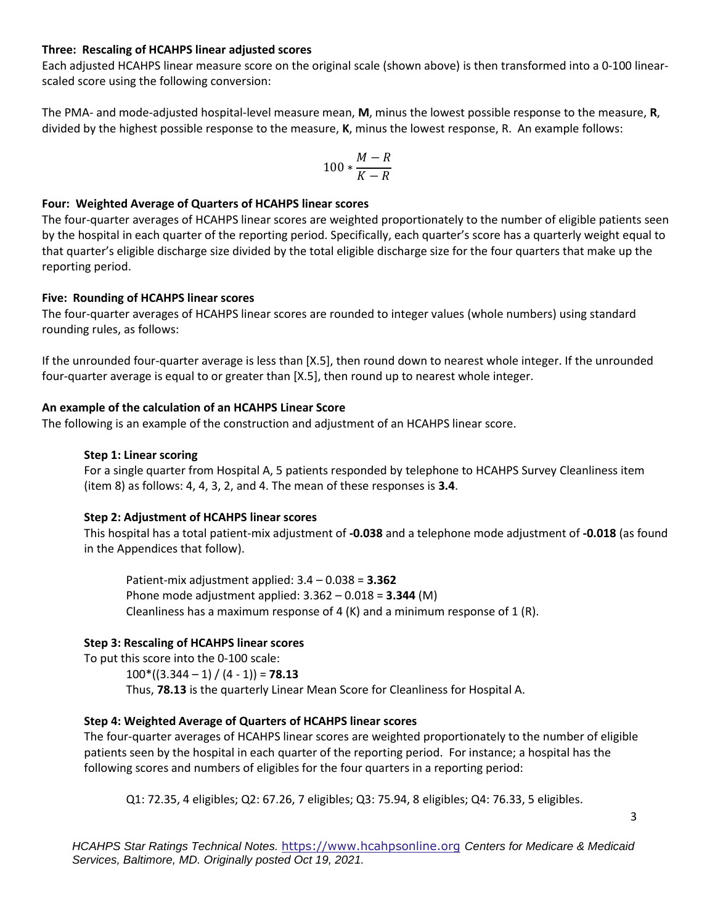#### **Three: Rescaling of HCAHPS linear adjusted scores**

Each adjusted HCAHPS linear measure score on the original scale (shown above) is then transformed into a 0-100 linearscaled score using the following conversion:

 divided by the highest possible response to the measure, **K**, minus the lowest response, R. An example follows: The PMA- and mode-adjusted hospital-level measure mean, **M**, minus the lowest possible response to the measure, **R**,

$$
100*\frac{M-R}{K-R}
$$

### **Four: Weighted Average of Quarters of HCAHPS linear scores**

The four-quarter averages of HCAHPS linear scores are weighted proportionately to the number of eligible patients seen by the hospital in each quarter of the reporting period. Specifically, each quarter's score has a quarterly weight equal to that quarter's eligible discharge size divided by the total eligible discharge size for the four quarters that make up the reporting period.

#### **Five: Rounding of HCAHPS linear scores**

The four-quarter averages of HCAHPS linear scores are rounded to integer values (whole numbers) using standard rounding rules, as follows:

If the unrounded four-quarter average is less than [X.5], then round down to nearest whole integer. If the unrounded four-quarter average is equal to or greater than [X.5], then round up to nearest whole integer.

### **An example of the calculation of an HCAHPS Linear Score**

The following is an example of the construction and adjustment of an HCAHPS linear score.

### **Step 1: Linear scoring**

For a single quarter from Hospital A, 5 patients responded by telephone to HCAHPS Survey Cleanliness item (item 8) as follows: 4, 4, 3, 2, and 4. The mean of these responses is **3.4**.

### **Step 2: Adjustment of HCAHPS linear scores**

This hospital has a total patient-mix adjustment of **-0.038** and a telephone mode adjustment of **-0.018** (as found in the Appendices that follow).

Patient-mix adjustment applied: 3.4 – 0.038 = **3.362**  Phone mode adjustment applied: 3.362 – 0.018 = **3.344** (M) Cleanliness has a maximum response of 4 (K) and a minimum response of 1 (R).

### **Step 3: Rescaling of HCAHPS linear scores**

To put this score into the 0-100 scale:  $100*(3.344 - 1) / (4 - 1)$  = **78.13** Thus, **78.13** is the quarterly Linear Mean Score for Cleanliness for Hospital A.

### **Step 4: Weighted Average of Quarters of HCAHPS linear scores**

The four-quarter averages of HCAHPS linear scores are weighted proportionately to the number of eligible patients seen by the hospital in each quarter of the reporting period. For instance; a hospital has the following scores and numbers of eligibles for the four quarters in a reporting period:

Q1: 72.35, 4 eligibles; Q2: 67.26, 7 eligibles; Q3: 75.94, 8 eligibles; Q4: 76.33, 5 eligibles.

*HCAHPS Star Ratings Technical Notes.* [https://www.hcahpsonline.org](http://www.hcahpsonline.org/) *Centers for Medicare & Medicaid Services, Baltimore, MD. Originally posted Oct 19, 2021.*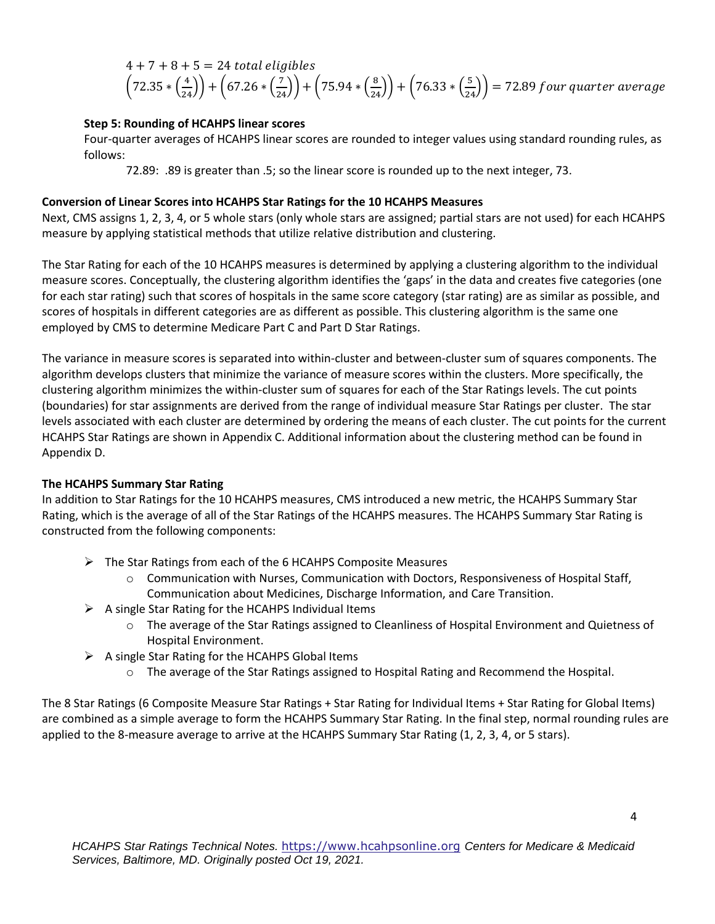$$
4 + 7 + 8 + 5 = 24
$$
 total eligibles  
 $\left(72.35 * \left(\frac{4}{24}\right)\right) + \left(67.26 * \left(\frac{7}{24}\right)\right) + \left(75.94 * \left(\frac{8}{24}\right)\right) + \left(76.33 * \left(\frac{5}{24}\right)\right) = 72.89$  four quarter average

### **Step 5: Rounding of HCAHPS linear scores**

Four-quarter averages of HCAHPS linear scores are rounded to integer values using standard rounding rules, as follows:

72.89: .89 is greater than .5; so the linear score is rounded up to the next integer, 73.

#### **Conversion of Linear Scores into HCAHPS Star Ratings for the 10 HCAHPS Measures**

 Next, CMS assigns 1, 2, 3, 4, or 5 whole stars (only whole stars are assigned; partial stars are not used) for each HCAHPS measure by applying statistical methods that utilize relative distribution and clustering.

 The Star Rating for each of the 10 HCAHPS measures is determined by applying a clustering algorithm to the individual for each star rating) such that scores of hospitals in the same score category (star rating) are as similar as possible, and measure scores. Conceptually, the clustering algorithm identifies the 'gaps' in the data and creates five categories (one scores of hospitals in different categories are as different as possible. This clustering algorithm is the same one employed by CMS to determine Medicare Part C and Part D Star Ratings.

 clustering algorithm minimizes the within-cluster sum of squares for each of the Star Ratings levels. The cut points HCAHPS Star Ratings are shown in Appendix C. Additional information about the clustering method can be found in Appendix D. The variance in measure scores is separated into within-cluster and between-cluster sum of squares components. The algorithm develops clusters that minimize the variance of measure scores within the clusters. More specifically, the (boundaries) for star assignments are derived from the range of individual measure Star Ratings per cluster. The star levels associated with each cluster are determined by ordering the means of each cluster. The cut points for the current

#### **The HCAHPS Summary Star Rating**

 In addition to Star Ratings for the 10 HCAHPS measures, CMS introduced a new metric, the HCAHPS Summary Star Rating, which is the average of all of the Star Ratings of the HCAHPS measures. The HCAHPS Summary Star Rating is constructed from the following components:

- ➢ The Star Ratings from each of the 6 HCAHPS Composite Measures
	- $\circ$  Communication with Nurses, Communication with Doctors, Responsiveness of Hospital Staff, Communication about Medicines, Discharge Information, and Care Transition.
- $\triangleright$  A single Star Rating for the HCAHPS Individual Items
	- o The average of the Star Ratings assigned to Cleanliness of Hospital Environment and Quietness of Hospital Environment.
- $\triangleright$  A single Star Rating for the HCAHPS Global Items
	- o The average of the Star Ratings assigned to Hospital Rating and Recommend the Hospital.

 are combined as a simple average to form the HCAHPS Summary Star Rating. In the final step, normal rounding rules are The 8 Star Ratings (6 Composite Measure Star Ratings + Star Rating for Individual Items + Star Rating for Global Items) applied to the 8-measure average to arrive at the HCAHPS Summary Star Rating (1, 2, 3, 4, or 5 stars).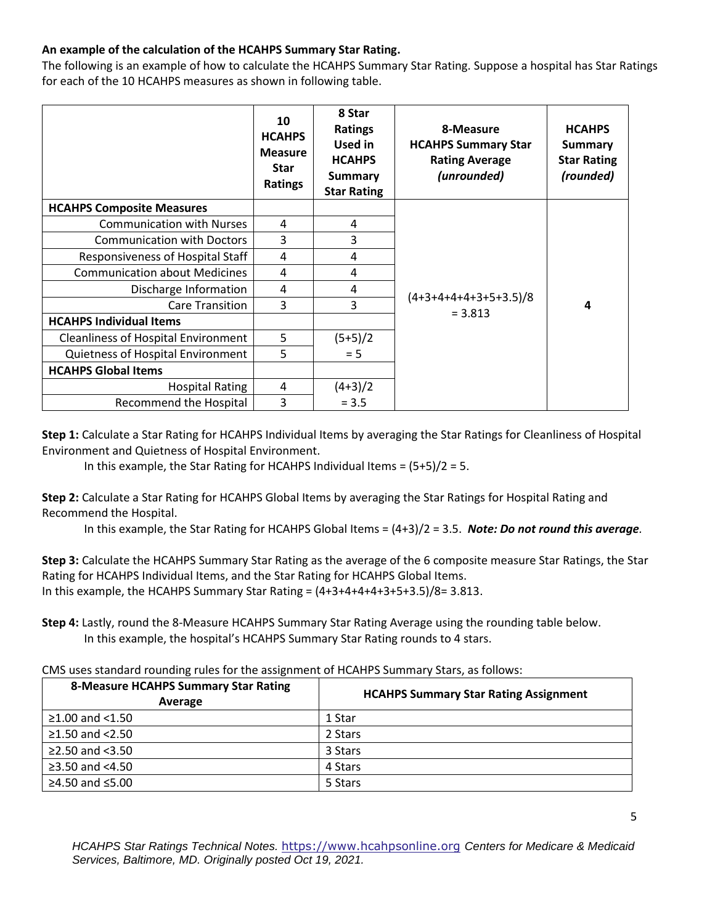### **An example of the calculation of the HCAHPS Summary Star Rating.**

The following is an example of how to calculate the HCAHPS Summary Star Rating. Suppose a hospital has Star Ratings for each of the 10 HCAHPS measures as shown in following table.

|                                            | 10<br><b>HCAHPS</b><br><b>Measure</b><br><b>Star</b><br>Ratings | 8 Star<br><b>Ratings</b><br>Used in<br><b>HCAHPS</b><br><b>Summary</b><br><b>Star Rating</b> | 8-Measure<br><b>HCAHPS Summary Star</b><br><b>Rating Average</b><br>(unrounded) | <b>HCAHPS</b><br>Summary<br><b>Star Rating</b><br>(rounded) |
|--------------------------------------------|-----------------------------------------------------------------|----------------------------------------------------------------------------------------------|---------------------------------------------------------------------------------|-------------------------------------------------------------|
| <b>HCAHPS Composite Measures</b>           |                                                                 |                                                                                              |                                                                                 |                                                             |
| <b>Communication with Nurses</b>           | 4                                                               | 4                                                                                            |                                                                                 | 4                                                           |
| <b>Communication with Doctors</b>          | 3                                                               | 3                                                                                            |                                                                                 |                                                             |
| Responsiveness of Hospital Staff           | 4                                                               | 4                                                                                            |                                                                                 |                                                             |
| <b>Communication about Medicines</b>       | 4                                                               | 4                                                                                            |                                                                                 |                                                             |
| Discharge Information                      | 4                                                               | 4                                                                                            |                                                                                 |                                                             |
| Care Transition                            | 3                                                               | 3                                                                                            | $(4+3+4+4+4+3+5+3.5)/8$<br>$= 3.813$                                            |                                                             |
| <b>HCAHPS Individual Items</b>             |                                                                 |                                                                                              |                                                                                 |                                                             |
| <b>Cleanliness of Hospital Environment</b> | 5                                                               | $(5+5)/2$                                                                                    |                                                                                 |                                                             |
| Quietness of Hospital Environment          | 5                                                               | $= 5$                                                                                        |                                                                                 |                                                             |
| <b>HCAHPS Global Items</b>                 |                                                                 |                                                                                              |                                                                                 |                                                             |
| <b>Hospital Rating</b>                     | 4                                                               | $(4+3)/2$                                                                                    |                                                                                 |                                                             |
| Recommend the Hospital                     | 3                                                               | $= 3.5$                                                                                      |                                                                                 |                                                             |

**Step 1:** Calculate a Star Rating for HCAHPS Individual Items by averaging the Star Ratings for Cleanliness of Hospital Environment and Quietness of Hospital Environment.

In this example, the Star Rating for HCAHPS Individual Items = (5+5)/2 = 5.

**Step 2:** Calculate a Star Rating for HCAHPS Global Items by averaging the Star Ratings for Hospital Rating and Recommend the Hospital.

In this example, the Star Rating for HCAHPS Global Items = (4+3)/2 = 3.5. *Note: Do not round this average.* 

**Step 3:** Calculate the HCAHPS Summary Star Rating as the average of the 6 composite measure Star Ratings, the Star Rating for HCAHPS Individual Items, and the Star Rating for HCAHPS Global Items. In this example, the HCAHPS Summary Star Rating =  $(4+3+4+4+3+5+3.5)/8=3.813$ .

**Step 4:** Lastly, round the 8-Measure HCAHPS Summary Star Rating Average using the rounding table below. In this example, the hospital's HCAHPS Summary Star Rating rounds to 4 stars.

CMS uses standard rounding rules for the assignment of HCAHPS Summary Stars, as follows:

| <b>8-Measure HCAHPS Summary Star Rating</b><br>Average | <b>HCAHPS Summary Star Rating Assignment</b> |
|--------------------------------------------------------|----------------------------------------------|
| $≥1.00$ and <1.50                                      | 1 Star                                       |
| $≥1.50$ and $<2.50$                                    | 2 Stars                                      |
| ≥2.50 and $<3.50$                                      | 3 Stars                                      |
| ≥3.50 and $<4.50$                                      | 4 Stars                                      |
| ≥4.50 and $≤5.00$                                      | 5 Stars                                      |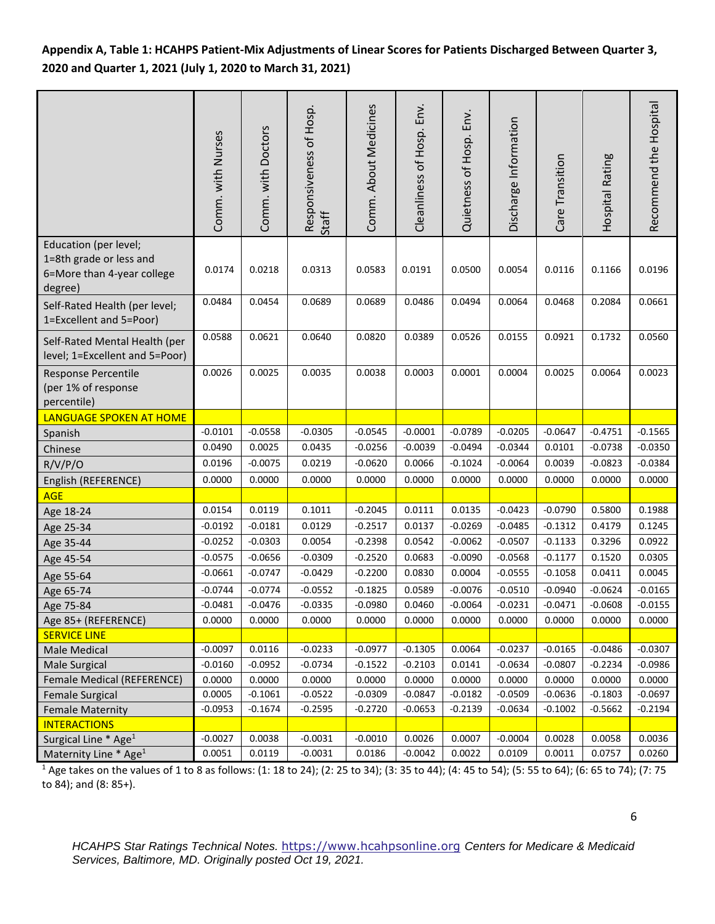# **Appendix A, Table 1: HCAHPS Patient-Mix Adjustments of Linear Scores for Patients Discharged Between Quarter 3, 2020 and Quarter 1, 2021 (July 1, 2020 to March 31, 2021)**

|                                                                                           | Comm. with Nurses | Comm. with Doctors | Responsiveness of Hosp.<br>Staff | Comm. About Medicines | Cleanliness of Hosp. Env. | Quietness of Hosp. Env. | Discharge Information | Care Transition | Hospital Rating | Recommend the Hospital |
|-------------------------------------------------------------------------------------------|-------------------|--------------------|----------------------------------|-----------------------|---------------------------|-------------------------|-----------------------|-----------------|-----------------|------------------------|
| Education (per level;<br>1=8th grade or less and<br>6=More than 4-year college<br>degree) | 0.0174            | 0.0218             | 0.0313                           | 0.0583                | 0.0191                    | 0.0500                  | 0.0054                | 0.0116          | 0.1166          | 0.0196                 |
| Self-Rated Health (per level;<br>1=Excellent and 5=Poor)                                  | 0.0484            | 0.0454             | 0.0689                           | 0.0689                | 0.0486                    | 0.0494                  | 0.0064                | 0.0468          | 0.2084          | 0.0661                 |
| Self-Rated Mental Health (per<br>level; 1=Excellent and 5=Poor)                           | 0.0588            | 0.0621             | 0.0640                           | 0.0820                | 0.0389                    | 0.0526                  | 0.0155                | 0.0921          | 0.1732          | 0.0560                 |
| Response Percentile<br>(per 1% of response<br>percentile)                                 | 0.0026            | 0.0025             | 0.0035                           | 0.0038                | 0.0003                    | 0.0001                  | 0.0004                | 0.0025          | 0.0064          | 0.0023                 |
| LANGUAGE SPOKEN AT HOME                                                                   |                   |                    |                                  |                       |                           |                         |                       |                 |                 |                        |
| Spanish                                                                                   | $-0.0101$         | $-0.0558$          | $-0.0305$                        | $-0.0545$             | $-0.0001$                 | $-0.0789$               | $-0.0205$             | $-0.0647$       | $-0.4751$       | $-0.1565$              |
| Chinese                                                                                   | 0.0490            | 0.0025             | 0.0435                           | $-0.0256$             | $-0.0039$                 | $-0.0494$               | $-0.0344$             | 0.0101          | $-0.0738$       | $-0.0350$              |
| R/V/P/O                                                                                   | 0.0196            | $-0.0075$          | 0.0219                           | $-0.0620$             | 0.0066                    | $-0.1024$               | $-0.0064$             | 0.0039          | $-0.0823$       | $-0.0384$              |
| English (REFERENCE)                                                                       | 0.0000            | 0.0000             | 0.0000                           | 0.0000                | 0.0000                    | 0.0000                  | 0.0000                | 0.0000          | 0.0000          | 0.0000                 |
| <b>AGE</b>                                                                                |                   |                    |                                  |                       |                           |                         |                       |                 |                 |                        |
| Age 18-24                                                                                 | 0.0154            | 0.0119             | 0.1011                           | $-0.2045$             | 0.0111                    | 0.0135                  | $-0.0423$             | $-0.0790$       | 0.5800          | 0.1988                 |
| Age 25-34                                                                                 | $-0.0192$         | $-0.0181$          | 0.0129                           | $-0.2517$             | 0.0137                    | $-0.0269$               | $-0.0485$             | $-0.1312$       | 0.4179          | 0.1245                 |
| Age 35-44                                                                                 | $-0.0252$         | $-0.0303$          | 0.0054                           | $-0.2398$             | 0.0542                    | $-0.0062$               | $-0.0507$             | $-0.1133$       | 0.3296          | 0.0922                 |
| Age 45-54                                                                                 | $-0.0575$         | $-0.0656$          | $-0.0309$                        | $-0.2520$             | 0.0683                    | $-0.0090$               | $-0.0568$             | $-0.1177$       | 0.1520          | 0.0305                 |
| Age 55-64                                                                                 | $-0.0661$         | $-0.0747$          | $-0.0429$                        | $-0.2200$             | 0.0830                    | 0.0004                  | $-0.0555$             | $-0.1058$       | 0.0411          | 0.0045                 |
| Age 65-74                                                                                 | $-0.0744$         | $-0.0774$          | $-0.0552$                        | $-0.1825$             | 0.0589                    | $-0.0076$               | $-0.0510$             | $-0.0940$       | $-0.0624$       | $-0.0165$              |
| Age 75-84                                                                                 | $-0.0481$         | $-0.0476$          | $-0.0335$                        | $-0.0980$             | 0.0460                    | $-0.0064$               | $-0.0231$             | $-0.0471$       | $-0.0608$       | $-0.0155$              |
| Age 85+ (REFERENCE)                                                                       | 0.0000            | 0.0000             | 0.0000                           | 0.0000                | 0.0000                    | 0.0000                  | 0.0000                | 0.0000          | 0.0000          | 0.0000                 |
| <b>SERVICE LINE</b>                                                                       |                   |                    |                                  |                       |                           |                         |                       |                 |                 |                        |
| Male Medical                                                                              | $-0.0097$         | 0.0116             | $-0.0233$                        | $-0.0977$             | $-0.1305$                 | 0.0064                  | $-0.0237$             | $-0.0165$       | $-0.0486$       | $-0.0307$              |
| Male Surgical                                                                             | $-0.0160$         | $-0.0952$          | $-0.0734$                        | $-0.1522$             | $-0.2103$                 | 0.0141                  | $-0.0634$             | $-0.0807$       | $-0.2234$       | $-0.0986$              |
| <b>Female Medical (REFERENCE)</b>                                                         | 0.0000            | 0.0000             | 0.0000                           | 0.0000                | 0.0000                    | 0.0000                  | 0.0000                | 0.0000          | 0.0000          | 0.0000                 |
| <b>Female Surgical</b>                                                                    | 0.0005            | $-0.1061$          | $-0.0522$                        | $-0.0309$             | $-0.0847$                 | $-0.0182$               | $-0.0509$             | $-0.0636$       | $-0.1803$       | $-0.0697$              |
| <b>Female Maternity</b>                                                                   | $-0.0953$         | $-0.1674$          | $-0.2595$                        | $-0.2720$             | $-0.0653$                 | $-0.2139$               | $-0.0634$             | $-0.1002$       | $-0.5662$       | $-0.2194$              |
| <b>INTERACTIONS</b>                                                                       |                   |                    |                                  |                       |                           |                         |                       |                 |                 |                        |
| Surgical Line * Age <sup>1</sup>                                                          | $-0.0027$         | 0.0038             | $-0.0031$                        | $-0.0010$             | 0.0026                    | 0.0007                  | $-0.0004$             | 0.0028          | 0.0058          | 0.0036                 |
| Maternity Line * Age <sup>1</sup>                                                         | 0.0051            | 0.0119             | $-0.0031$                        | 0.0186                | $-0.0042$                 | 0.0022                  | 0.0109                | 0.0011          | 0.0757          | 0.0260                 |

<sup>1</sup> Age takes on the values of 1 to 8 as follows: (1: 18 to 24); (2: 25 to 34); (3: 35 to 44); (4: 45 to 54); (5: 55 to 64); (6: 65 to 74); (7: 75 to 84); and (8: 85+).

*HCAHPS Star Ratings Technical Notes.* [https://www.hcahpsonline.org](http://www.hcahpsonline.org/) *Centers for Medicare & Medicaid Services, Baltimore, MD. Originally posted Oct 19, 2021.*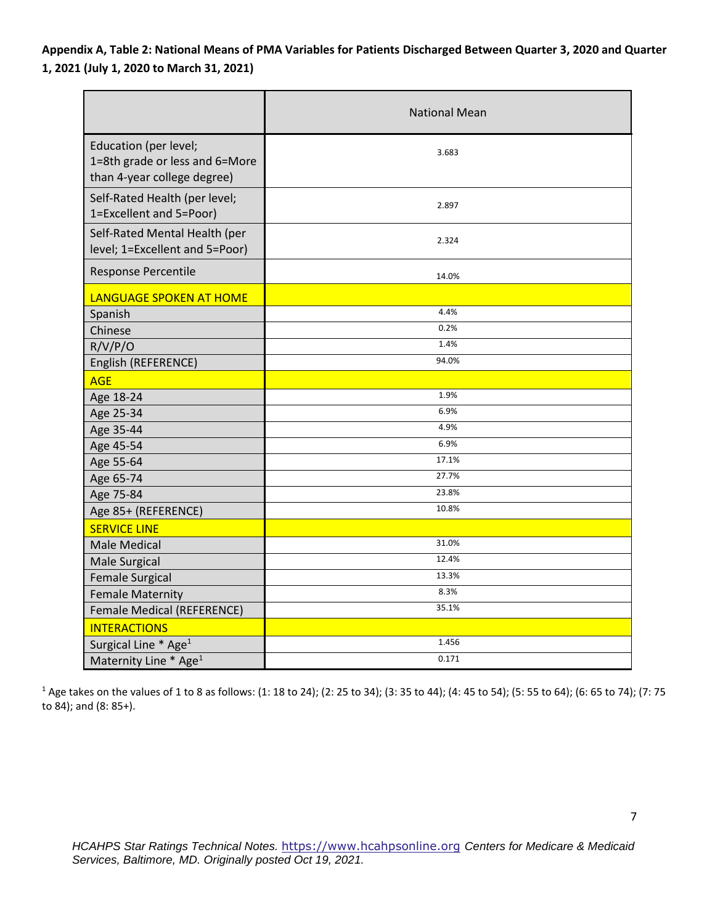**Appendix A, Table 2: National Means of PMA Variables for Patients Discharged Between Quarter 3, 2020 and Quarter 1, 2021 (July 1, 2020 to March 31, 2021)** 

|                                                                                        | <b>National Mean</b> |  |  |  |  |
|----------------------------------------------------------------------------------------|----------------------|--|--|--|--|
| Education (per level;<br>1=8th grade or less and 6=More<br>than 4-year college degree) | 3.683                |  |  |  |  |
| Self-Rated Health (per level;<br>1=Excellent and 5=Poor)                               | 2.897                |  |  |  |  |
| Self-Rated Mental Health (per<br>level; 1=Excellent and 5=Poor)                        | 2.324                |  |  |  |  |
| Response Percentile                                                                    | 14.0%                |  |  |  |  |
| LANGUAGE SPOKEN AT HOME                                                                |                      |  |  |  |  |
| Spanish                                                                                | 4.4%                 |  |  |  |  |
| Chinese                                                                                | 0.2%                 |  |  |  |  |
| R/V/P/O                                                                                | 1.4%                 |  |  |  |  |
| English (REFERENCE)                                                                    | 94.0%                |  |  |  |  |
| <b>AGE</b>                                                                             |                      |  |  |  |  |
| Age 18-24                                                                              | 1.9%                 |  |  |  |  |
| Age 25-34                                                                              | 6.9%                 |  |  |  |  |
| Age 35-44                                                                              | 4.9%                 |  |  |  |  |
| Age 45-54                                                                              | 6.9%                 |  |  |  |  |
| Age 55-64                                                                              | 17.1%                |  |  |  |  |
| Age 65-74                                                                              | 27.7%                |  |  |  |  |
| Age 75-84                                                                              | 23.8%                |  |  |  |  |
| Age 85+ (REFERENCE)                                                                    | 10.8%                |  |  |  |  |
| <b>SERVICE LINE</b>                                                                    |                      |  |  |  |  |
| <b>Male Medical</b>                                                                    | 31.0%                |  |  |  |  |
| <b>Male Surgical</b>                                                                   | 12.4%                |  |  |  |  |
| <b>Female Surgical</b>                                                                 | 13.3%                |  |  |  |  |
| <b>Female Maternity</b>                                                                | 8.3%                 |  |  |  |  |
| Female Medical (REFERENCE)                                                             | 35.1%                |  |  |  |  |
| <b>INTERACTIONS</b>                                                                    |                      |  |  |  |  |
| Surgical Line * Age <sup>1</sup>                                                       | 1.456                |  |  |  |  |
| Maternity Line * Age <sup>1</sup>                                                      | 0.171                |  |  |  |  |

1 Age takes on the values of 1 to 8 as follows: (1: 18 to 24); (2: 25 to 34); (3: 35 to 44); (4: 45 to 54); (5: 55 to 64); (6: 65 to 74); (7: 75 to 84); and (8: 85+).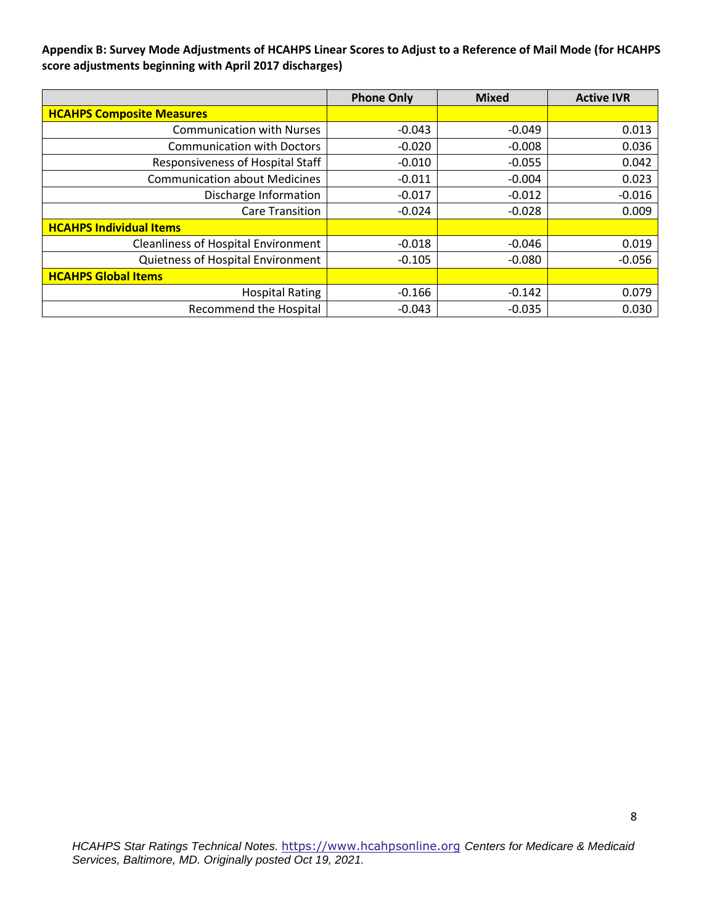**Appendix B: Survey Mode Adjustments of HCAHPS Linear Scores to Adjust to a Reference of Mail Mode (for HCAHPS score adjustments beginning with April 2017 discharges)** 

|                                            | <b>Phone Only</b> | <b>Mixed</b> | <b>Active IVR</b> |
|--------------------------------------------|-------------------|--------------|-------------------|
| <b>HCAHPS Composite Measures</b>           |                   |              |                   |
| <b>Communication with Nurses</b>           | $-0.043$          | $-0.049$     | 0.013             |
| <b>Communication with Doctors</b>          | $-0.020$          | $-0.008$     | 0.036             |
| Responsiveness of Hospital Staff           | $-0.010$          | $-0.055$     | 0.042             |
| <b>Communication about Medicines</b>       | $-0.011$          | $-0.004$     | 0.023             |
| Discharge Information                      | $-0.017$          | $-0.012$     | $-0.016$          |
| <b>Care Transition</b>                     | $-0.024$          | $-0.028$     | 0.009             |
| <b>HCAHPS Individual Items</b>             |                   |              |                   |
| <b>Cleanliness of Hospital Environment</b> | $-0.018$          | $-0.046$     | 0.019             |
| Quietness of Hospital Environment          | $-0.105$          | $-0.080$     | $-0.056$          |
| <b>HCAHPS Global Items</b>                 |                   |              |                   |
| <b>Hospital Rating</b>                     | $-0.166$          | $-0.142$     | 0.079             |
| <b>Recommend the Hospital</b>              | $-0.043$          | $-0.035$     | 0.030             |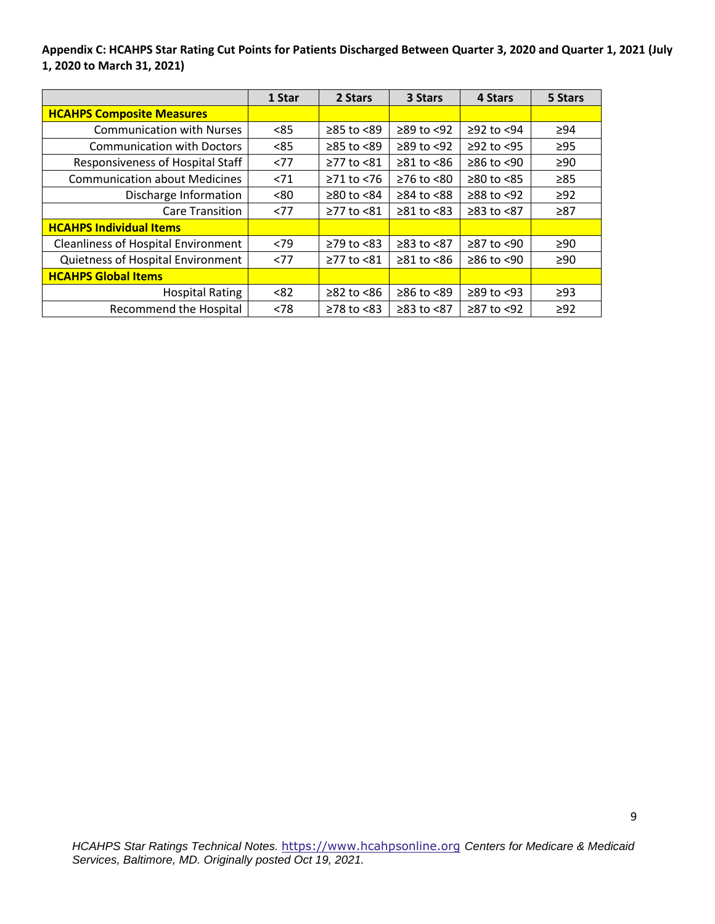**Appendix C: HCAHPS Star Rating Cut Points for Patients Discharged Between Quarter 3, 2020 and Quarter 1, 2021 (July 1, 2020 to March 31, 2021)** 

|                                            | 1 Star | 2 Stars          | 3 Stars          | 4 Stars          | 5 Stars   |
|--------------------------------------------|--------|------------------|------------------|------------------|-----------|
| <b>HCAHPS Composite Measures</b>           |        |                  |                  |                  |           |
| <b>Communication with Nurses</b>           | < 85   | $\geq$ 85 to <89 | $\geq$ 89 to <92 | $≥92$ to $<94$   | $\geq$ 94 |
| <b>Communication with Doctors</b>          | < 85   | $\geq$ 85 to <89 | $\geq$ 89 to <92 | $≥92$ to <95     | $\geq$ 95 |
| <b>Responsiveness of Hospital Staff</b>    | <77    | ≥77 to <81       | $\geq 81$ to <86 | $≥86$ to <90     | $\geq 90$ |
| <b>Communication about Medicines</b>       | < 71   | $\geq$ 71 to <76 | $≥76$ to $≤80$   | $\geq$ 80 to <85 | $\geq 85$ |
| Discharge Information                      | < 80   | $\geq$ 80 to <84 | $\geq$ 84 to <88 | $≥88$ to $≤92$   | $\geq$ 92 |
| <b>Care Transition</b>                     | <77    | ≥77 to <81       | $\geq 81$ to <83 | $≥83$ to $<87$   | $\geq 87$ |
| <b>HCAHPS Individual Items</b>             |        |                  |                  |                  |           |
| <b>Cleanliness of Hospital Environment</b> | < 79   | $≥79$ to $< 83$  | ≥83 to <87       | ≥87 to <90       | $\geq 90$ |
| Quietness of Hospital Environment          | <77    | ≥77 to <81       | $≥81$ to $<86$   | $≥86$ to <90     | ≥90       |
| <b>HCAHPS Global Items</b>                 |        |                  |                  |                  |           |
| <b>Hospital Rating</b>                     | < 82   | $\geq$ 82 to <86 | ≥86 to <89       | $\geq$ 89 to <93 | $\geq$ 93 |
| Recommend the Hospital                     | < 78   | $\geq$ 78 to <83 | ≥83 to <87       | ≥87 to <92       | $\geq$ 92 |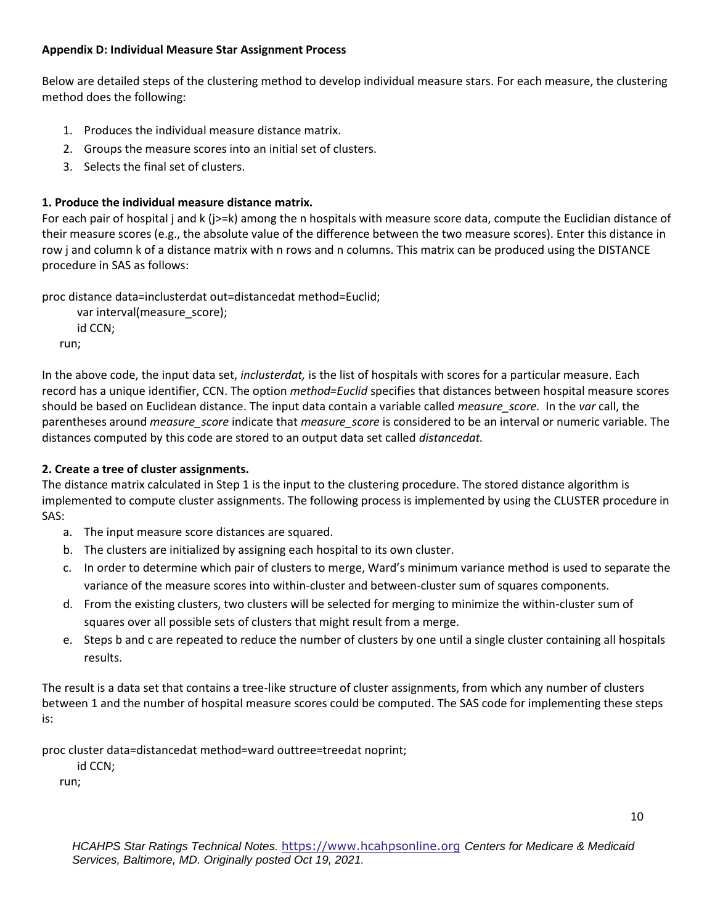### **Appendix D: Individual Measure Star Assignment Process**

Below are detailed steps of the clustering method to develop individual measure stars. For each measure, the clustering method does the following:

- 1. Produces the individual measure distance matrix.
- 2. Groups the measure scores into an initial set of clusters.
- 3. Selects the final set of clusters.

# **1. Produce the individual measure distance matrix.**

For each pair of hospital j and k (j>=k) among the n hospitals with measure score data, compute the Euclidian distance of their measure scores (e.g., the absolute value of the difference between the two measure scores). Enter this distance in row j and column k of a distance matrix with n rows and n columns. This matrix can be produced using the DISTANCE procedure in SAS as follows:

proc distance data=inclusterdat out=distancedat method=Euclid;

var interval(measure\_score); id CCN; run;

In the above code, the input data set, *inclusterdat,* is the list of hospitals with scores for a particular measure. Each record has a unique identifier, CCN. The option *method=Euclid* specifies that distances between hospital measure scores should be based on Euclidean distance. The input data contain a variable called *measure\_score.* In the *var* call, the parentheses around *measure\_score* indicate that *measure\_score* is considered to be an interval or numeric variable. The distances computed by this code are stored to an output data set called *distancedat.* 

# **2. Create a tree of cluster assignments.**

The distance matrix calculated in Step 1 is the input to the clustering procedure. The stored distance algorithm is implemented to compute cluster assignments. The following process is implemented by using the CLUSTER procedure in SAS:

- a. The input measure score distances are squared.
- b. The clusters are initialized by assigning each hospital to its own cluster.
- c. In order to determine which pair of clusters to merge, Ward's minimum variance method is used to separate the variance of the measure scores into within-cluster and between-cluster sum of squares components.
- d. From the existing clusters, two clusters will be selected for merging to minimize the within-cluster sum of squares over all possible sets of clusters that might result from a merge.
- e. Steps b and c are repeated to reduce the number of clusters by one until a single cluster containing all hospitals results.

The result is a data set that contains a tree-like structure of cluster assignments, from which any number of clusters between 1 and the number of hospital measure scores could be computed. The SAS code for implementing these steps is:

proc cluster data=distancedat method=ward outtree=treedat noprint;

id CCN;

run;